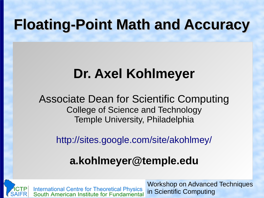### **Floating-Point Math and Accuracy**

### **Dr. Axel Kohlmeyer**

Associate Dean for Scientific Computing College of Science and Technology Temple University, Philadelphia

<http://sites.google.com/site/akohlmey/>

#### **a.kohlmeyer@temple.edu**



International Centre for Theoretical Physics<br>South American Institute for Fundamental

Workshop on Advanced Techniques in Scientific Computing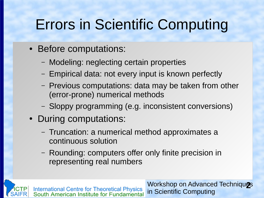# Errors in Scientific Computing

- Before computations:
	- Modeling: neglecting certain properties
	- Empirical data: not every input is known perfectly
	- Previous computations: data may be taken from other (error-prone) numerical methods
	- Sloppy programming (e.g. inconsistent conversions)
- During computations:
	- Truncation: a numerical method approximates a continuous solution
	- Rounding: computers offer only finite precision in representing real numbers

International Centre for Theoretical Physics<br>South American Institute for Fundamental

Workshop on Advanced Techniques in Scientific Computing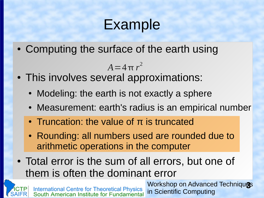### Example

• Computing the surface of the earth using

 $A = 4\pi r^2$ 

- This involves several approximations:
	- Modeling: the earth is not exactly a sphere
	- Measurement: earth's radius is an empirical number
	- $\cdot$  Truncation: the value of π is truncated
	- Rounding: all numbers used are rounded due to arithmetic operations in the computer
- Total error is the sum of all errors, but one of them is often the dominant error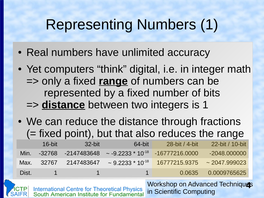# Representing Numbers (1)

- Real numbers have unlimited accuracy
- Yet computers "think" digital, i.e. in integer math => only a fixed **range** of numbers can be represented by a fixed number of bits => **distance** between two integers is 1
- We can reduce the distance through fractions (= fixed point), but that also reduces the range

|       | $16$ -bit    | 32-bit       | 64-bit                                                                   | 28-bit / 4-bit                                                                                | 22-bit / 10-bit      |
|-------|--------------|--------------|--------------------------------------------------------------------------|-----------------------------------------------------------------------------------------------|----------------------|
| Min.  |              |              | $-32768$ $-2147483648$ $\sim$ $-9.2233 \times 10^{-18}$ $-16777216.0000$ |                                                                                               | $-2048,000000$       |
| Max.  |              |              |                                                                          | $32767$ $2147483647$ $\sim$ 9.2233 $\star$ 10 <sup>-18</sup> 16777215.9375 $\sim$ 2047.999023 |                      |
| Dist. | $\mathbf{1}$ | $\mathbf{1}$ | $\sim$ 1 $\sim$                                                          |                                                                                               | 0.0635  0.0009765625 |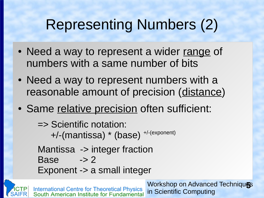# Representing Numbers (2)

- Need a way to represent a wider range of numbers with a same number of bits
- Need a way to represent numbers with a reasonable amount of precision (distance)
- Same relative precision often sufficient:

=> Scientific notation: +/-(mantissa) \* (base) +/-(exponent) Mantissa -> integer fraction

Base  $\rightarrow$  2

Exponent -> a small integer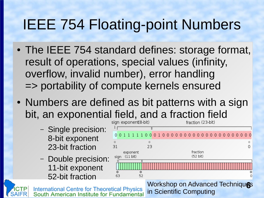# IEEE 754 Floating-point Numbers

- The IEEE 754 standard defines: storage format, result of operations, special values (infinity, overflow, invalid number), error handling => portability of compute kernels ensured
- Numbers are defined as bit patterns with a sign bit, an exponential field, and a fraction field<br>sign exponent(8-bit)<br>fraction (23-bit)
	- Single precision: 8-bit exponent 23-bit fraction
	- Double precision: 11-bit exponent 52-bit fraction





International Centre for Theoretical Physics<br>South American Institute for Fundamental

**Workshop on Advanced Techniques** in Scientific Computing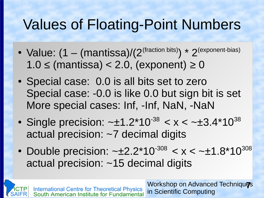# Values of Floating-Point Numbers

- Value:  $(1 (mantissa)/(2<sup>(fraction bits)</sup>) * 2<sup>(exponent-bias)</sup>)$  $1.0 \leq$  (mantissa) < 2.0, (exponent)  $\geq 0$
- Special case: 0.0 is all bits set to zero Special case: -0.0 is like 0.0 but sign bit is set More special cases: Inf, -Inf, NaN, -NaN
- Single precision:  $-±1.2*10<sup>-38</sup> < x < -±3.4*10<sup>38</sup>$ actual precision: ~7 decimal digits
- Double precision:  $-±2.2*10<sup>-308</sup> < x < -±1.8*10<sup>308</sup>$ actual precision: ~15 decimal digits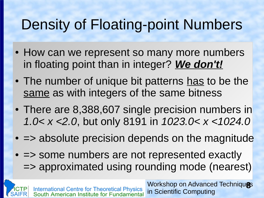# Density of Floating-point Numbers

- How can we represent so many more numbers in floating point than in integer? *We don't!*
- The number of unique bit patterns has to be the same as with integers of the same bitness
- There are 8,388,607 single precision numbers in *1.0< x <2.0*, but only 8191 in *1023.0< x <1024.0*
- $\cdot$  => absolute precision depends on the magnitude
- $\cdot$  => some numbers are not represented exactly => approximated using rounding mode (nearest)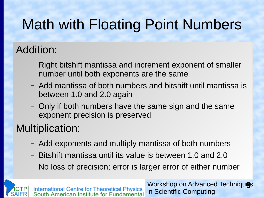# Math with Floating Point Numbers

#### Addition:

- Right bitshift mantissa and increment exponent of smaller number until both exponents are the same
- Add mantissa of both numbers and bitshift until mantissa is between 1.0 and 2.0 again
- Only if both numbers have the same sign and the same exponent precision is preserved

#### Multiplication:

- Add exponents and multiply mantissa of both numbers
- Bitshift mantissa until its value is between 1.0 and 2.0
- No loss of precision; error is larger error of either number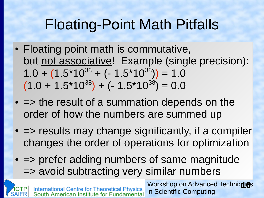# Floating-Point Math Pitfalls

- Floating point math is commutative, but not associative! Example (single precision):  $1.0 + (1.5*10^{38} + (-1.5*10^{38})) = 1.0$  $(1.0 + 1.5*10^{38}) + (-1.5*10^{38}) = 0.0$
- $\cdot$  => the result of a summation depends on the order of how the numbers are summed up
- $\bullet$   $\Rightarrow$  results may change significantly, if a compiler changes the order of operations for optimization
- $\bullet$   $\Rightarrow$  prefer adding numbers of same magnitude => avoid subtracting very similar numbers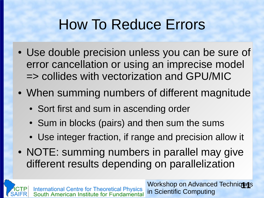# How To Reduce Errors

- Use double precision unless you can be sure of error cancellation or using an imprecise model => collides with vectorization and GPU/MIC
- When summing numbers of different magnitude
	- Sort first and sum in ascending order
	- Sum in blocks (pairs) and then sum the sums
	- Use integer fraction, if range and precision allow it
- NOTE: summing numbers in parallel may give different results depending on parallelization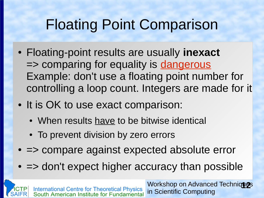# Floating Point Comparison

- Floating-point results are usually **inexact** => comparing for equality is dangerous Example: don't use a floating point number for controlling a loop count. Integers are made for it
- It is OK to use exact comparison:
	- When results have to be bitwise identical
	- To prevent division by zero errors
- $\cdot$   $\Rightarrow$  compare against expected absolute error
- $\bullet$   $\Rightarrow$  don't expect higher accuracy than possible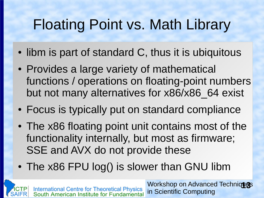# Floating Point vs. Math Library

- libm is part of standard C, thus it is ubiquitous
- Provides a large variety of mathematical functions / operations on floating-point numbers but not many alternatives for x86/x86\_64 exist
- Focus is typically put on standard compliance
- The x86 floating point unit contains most of the functionality internally, but most as firmware; SSE and AVX do not provide these
- The x86 FPU log() is slower than GNU libm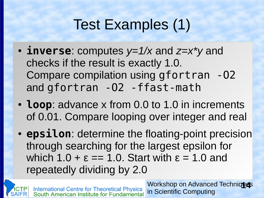# Test Examples (1)

- **inverse**: computes  $y=1/x$  and  $z=x*y$  and checks if the result is exactly 1.0. Compare compilation using gfortran -O2 and gfortran -O2 -ffast-math
- **Loop**: advance x from 0.0 to 1.0 in increments of 0.01. Compare looping over integer and real
- **epsilon**: determine the floating-point precision through searching for the largest epsilon for which  $1.0 + \varepsilon = 1.0$ . Start with  $\varepsilon = 1.0$  and repeatedly dividing by 2.0